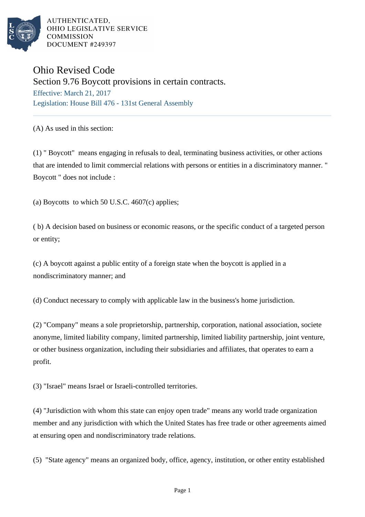

AUTHENTICATED. OHIO LEGISLATIVE SERVICE **COMMISSION** DOCUMENT #249397

## Ohio Revised Code

Section 9.76 Boycott provisions in certain contracts.

Effective: March 21, 2017 Legislation: House Bill 476 - 131st General Assembly

(A) As used in this section:

(1) " Boycott" means engaging in refusals to deal, terminating business activities, or other actions that are intended to limit commercial relations with persons or entities in a discriminatory manner. " Boycott " does not include :

(a) Boycotts to which 50 U.S.C.  $4607(c)$  applies;

( b) A decision based on business or economic reasons, or the specific conduct of a targeted person or entity;

(c) A boycott against a public entity of a foreign state when the boycott is applied in a nondiscriminatory manner; and

(d) Conduct necessary to comply with applicable law in the business's home jurisdiction.

(2) "Company" means a sole proprietorship, partnership, corporation, national association, societe anonyme, limited liability company, limited partnership, limited liability partnership, joint venture, or other business organization, including their subsidiaries and affiliates, that operates to earn a profit.

(3) "Israel" means Israel or Israeli-controlled territories.

(4) "Jurisdiction with whom this state can enjoy open trade" means any world trade organization member and any jurisdiction with which the United States has free trade or other agreements aimed at ensuring open and nondiscriminatory trade relations.

(5) "State agency" means an organized body, office, agency, institution, or other entity established